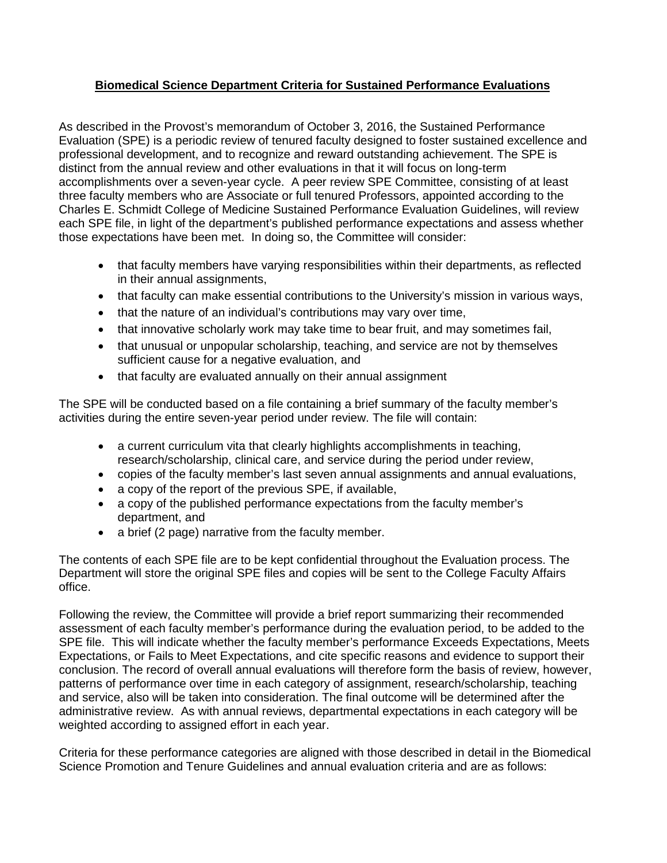## **Biomedical Science Department Criteria for Sustained Performance Evaluations**

As described in the Provost's memorandum of October 3, 2016, the Sustained Performance Evaluation (SPE) is a periodic review of tenured faculty designed to foster sustained excellence and professional development, and to recognize and reward outstanding achievement. The SPE is distinct from the annual review and other evaluations in that it will focus on long-term accomplishments over a seven-year cycle. A peer review SPE Committee, consisting of at least three faculty members who are Associate or full tenured Professors, appointed according to the Charles E. Schmidt College of Medicine Sustained Performance Evaluation Guidelines, will review each SPE file, in light of the department's published performance expectations and assess whether those expectations have been met. In doing so, the Committee will consider:

- that faculty members have varying responsibilities within their departments, as reflected in their annual assignments,
- that faculty can make essential contributions to the University's mission in various ways,
- that the nature of an individual's contributions may vary over time,
- that innovative scholarly work may take time to bear fruit, and may sometimes fail,
- that unusual or unpopular scholarship, teaching, and service are not by themselves sufficient cause for a negative evaluation, and
- that faculty are evaluated annually on their annual assignment

The SPE will be conducted based on a file containing a brief summary of the faculty member's activities during the entire seven-year period under review. The file will contain:

- a current curriculum vita that clearly highlights accomplishments in teaching, research/scholarship, clinical care, and service during the period under review,
- copies of the faculty member's last seven annual assignments and annual evaluations,
- a copy of the report of the previous SPE, if available,
- a copy of the published performance expectations from the faculty member's department, and
- a brief (2 page) narrative from the faculty member.

The contents of each SPE file are to be kept confidential throughout the Evaluation process. The Department will store the original SPE files and copies will be sent to the College Faculty Affairs office.

Following the review, the Committee will provide a brief report summarizing their recommended assessment of each faculty member's performance during the evaluation period, to be added to the SPE file. This will indicate whether the faculty member's performance Exceeds Expectations, Meets Expectations, or Fails to Meet Expectations, and cite specific reasons and evidence to support their conclusion. The record of overall annual evaluations will therefore form the basis of review, however, patterns of performance over time in each category of assignment, research/scholarship, teaching and service, also will be taken into consideration. The final outcome will be determined after the administrative review. As with annual reviews, departmental expectations in each category will be weighted according to assigned effort in each year.

Criteria for these performance categories are aligned with those described in detail in the Biomedical Science Promotion and Tenure Guidelines and annual evaluation criteria and are as follows: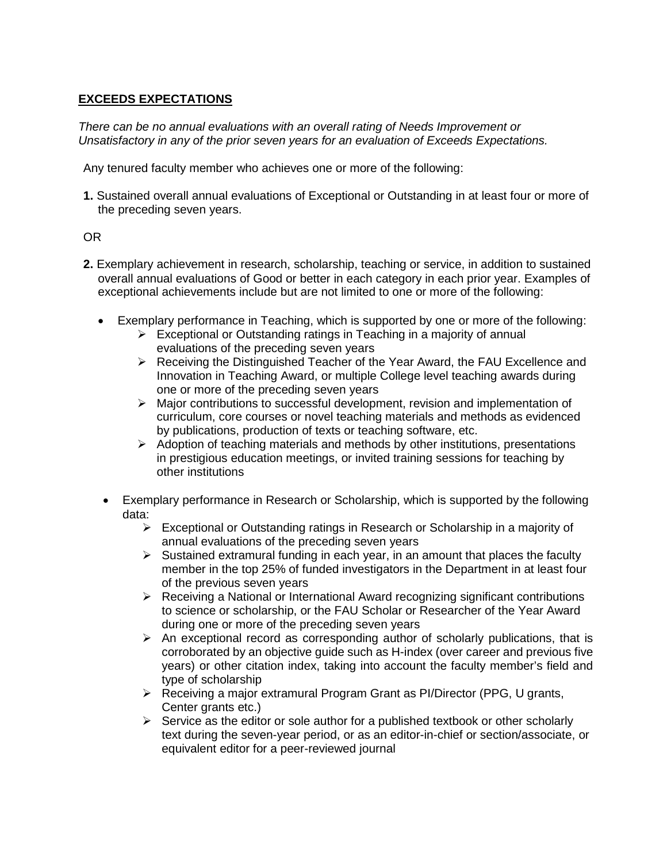## **EXCEEDS EXPECTATIONS**

*There can be no annual evaluations with an overall rating of Needs Improvement or Unsatisfactory in any of the prior seven years for an evaluation of Exceeds Expectations.*

Any tenured faculty member who achieves one or more of the following:

**1.** Sustained overall annual evaluations of Exceptional or Outstanding in at least four or more of the preceding seven years.

#### OR

- **2.** Exemplary achievement in research, scholarship, teaching or service, in addition to sustained overall annual evaluations of Good or better in each category in each prior year. Examples of exceptional achievements include but are not limited to one or more of the following:
	- Exemplary performance in Teaching, which is supported by one or more of the following:
		- $\triangleright$  Exceptional or Outstanding ratings in Teaching in a majority of annual evaluations of the preceding seven years
		- $\triangleright$  Receiving the Distinguished Teacher of the Year Award, the FAU Excellence and Innovation in Teaching Award, or multiple College level teaching awards during one or more of the preceding seven years
		- $\triangleright$  Major contributions to successful development, revision and implementation of curriculum, core courses or novel teaching materials and methods as evidenced by publications, production of texts or teaching software, etc.
		- $\triangleright$  Adoption of teaching materials and methods by other institutions, presentations in prestigious education meetings, or invited training sessions for teaching by other institutions
		- Exemplary performance in Research or Scholarship, which is supported by the following data:
			- $\triangleright$  Exceptional or Outstanding ratings in Research or Scholarship in a majority of annual evaluations of the preceding seven years
			- $\triangleright$  Sustained extramural funding in each year, in an amount that places the faculty member in the top 25% of funded investigators in the Department in at least four of the previous seven years
			- $\triangleright$  Receiving a National or International Award recognizing significant contributions to science or scholarship, or the FAU Scholar or Researcher of the Year Award during one or more of the preceding seven years
			- $\triangleright$  An exceptional record as corresponding author of scholarly publications, that is corroborated by an objective guide such as H-index (over career and previous five years) or other citation index, taking into account the faculty member's field and type of scholarship
			- $\triangleright$  Receiving a major extramural Program Grant as PI/Director (PPG, U grants, Center grants etc.)
			- $\triangleright$  Service as the editor or sole author for a published textbook or other scholarly text during the seven-year period, or as an editor-in-chief or section/associate, or equivalent editor for a peer-reviewed journal